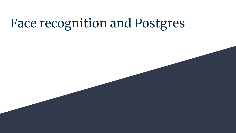# Face recognition and Postgres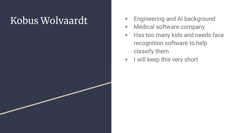# Kobus Wolvaardt

- + Engineering and AI background
- + Medical software company
- + Has too many kids and needs face recognition software to help classify them
- + I will keep this very short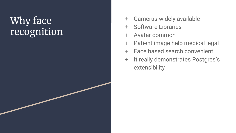# Why face recognition

- + Cameras widely available
- + Software Libraries
- + Avatar common
- + Patient image help medical legal
- + Face based search convenient
- + It really demonstrates Postgres's extensibility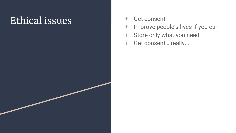# Ethical issues

- + Get consent
- + Improve people's lives if you can
- + Store only what you need
- + Get consent… really...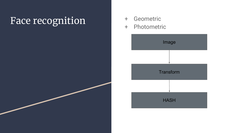# Face recognition + Geometric

- 
- Photometric

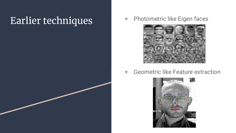### Earlier techniques + Photometric like Eigen faces



+ Geometric like Feature extraction

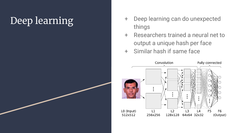# Deep learning

- + Deep learning can do unexpected things
- + Researchers trained a neural net to output a unique hash per face
- + Similar hash if same face

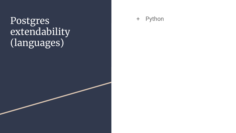### Postgres extendability (languages)

+ Python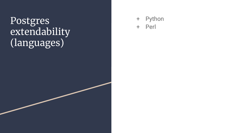### Postgres extendability (languages)

+ Python + Perl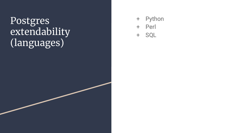### Postgres extendability (languages)

- + Python
- + Perl
- + SQL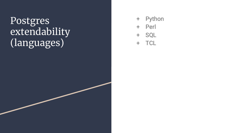### Postgres extendability (languages)

- + Python
- + Perl
- + SQL

+ TCL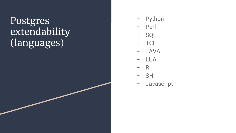### Postgres extendability (languages)

- + Python
- + Perl
- + SQL
- + TCL
- + JAVA
- + LUA
- + R
- + SH
- + Javascript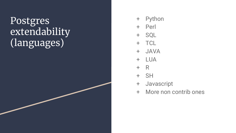### Postgres **extendability** (languages)

- + Python
- + Perl
- + SQL
- + TCL
- + JAVA
- + LUA
- + R
- + SH
- + Javascript
- + More non contrib ones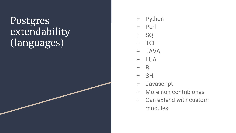### **Postgres extendability** (languages)

- + Python
- + Perl
- + SQL
- + TCL
- + JAVA
- + LUA
- + R
- + SH
- + Javascript
- + More non contrib ones
- + Can extend with custom modules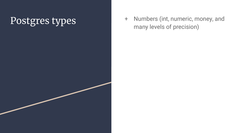Postgres types + Numbers (int, numeric, money, and many levels of precision)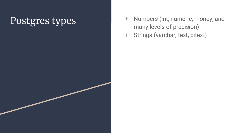- + Numbers (int, numeric, money, and many levels of precision)
- + Strings (varchar, text, citext)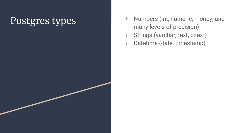- + Numbers (int, numeric, money, and many levels of precision)
- + Strings (varchar, text, citext)
- + Datetime (date, timestamp)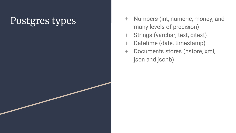- + Numbers (int, numeric, money, and many levels of precision)
- + Strings (varchar, text, citext)
- + Datetime (date, timestamp)
- + Documents stores (hstore, xml, json and jsonb)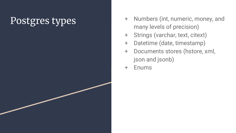- + Numbers (int, numeric, money, and many levels of precision)
- + Strings (varchar, text, citext)
- + Datetime (date, timestamp)
- + Documents stores (hstore, xml, json and jsonb)
- + Enums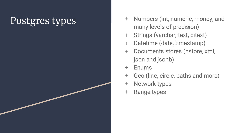- + Numbers (int, numeric, money, and many levels of precision)
- + Strings (varchar, text, citext)
- + Datetime (date, timestamp)
- + Documents stores (hstore, xml, json and jsonb)
- + Enums
- + Geo (line, circle, paths and more)
- + Network types
- + Range types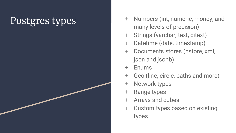- + Numbers (int, numeric, money, and many levels of precision)
- + Strings (varchar, text, citext)
- + Datetime (date, timestamp)
- + Documents stores (hstore, xml, json and jsonb)
- + Enums
- + Geo (line, circle, paths and more)
- + Network types
- + Range types
- + Arrays and cubes
- + Custom types based on existing types.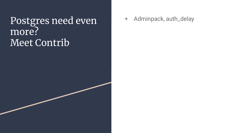### + Adminpack, auth\_delay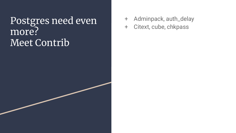- + Adminpack, auth\_delay
- + Citext, cube, chkpass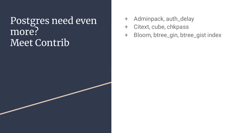- + Adminpack, auth\_delay
- + Citext, cube, chkpass
- + Bloom, btree\_gin, btree\_gist index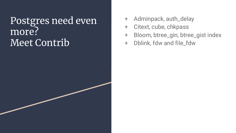- + Adminpack, auth\_delay
- + Citext, cube, chkpass
- + Bloom, btree\_gin, btree\_gist index
- + Dblink, fdw and file\_fdw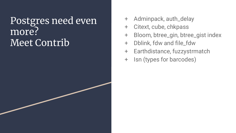- + Adminpack, auth\_delay
- + Citext, cube, chkpass
- + Bloom, btree\_gin, btree\_gist index
- + Dblink, fdw and file\_fdw
- + Earthdistance, fuzzystrmatch
- + Isn (types for barcodes)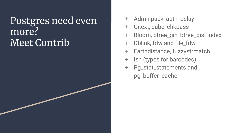- + Adminpack, auth\_delay
- + Citext, cube, chkpass
- + Bloom, btree\_gin, btree\_gist index
- + Dblink, fdw and file\_fdw
- + Earthdistance, fuzzystrmatch
- + Isn (types for barcodes)
- + Pg\_stat\_statements and pg\_buffer\_cache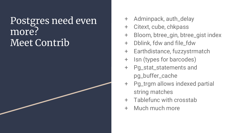- + Adminpack, auth\_delay
- + Citext, cube, chkpass
- + Bloom, btree\_gin, btree\_gist index
- + Dblink, fdw and file\_fdw
- + Earthdistance, fuzzystrmatch
- + Isn (types for barcodes)
- + Pg\_stat\_statements and pg\_buffer\_cache
- + Pg\_trgm allows indexed partial string matches
- + Tablefunc with crosstab
- + Much much more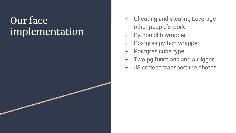### Our face implementation

- + Cheating and stealing Leverage other people's work
- + Python dlib wrapper
- + Postgres python wrapper
- + Postgres cube type
- + Two pg functions and a trigger
- + JS code to transport the photos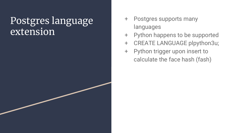### Postgres language extension

- + Postgres supports many languages
- + Python happens to be supported
- + CREATE LANGUAGE plpython3u;
- + Python trigger upon insert to calculate the face hash (fash)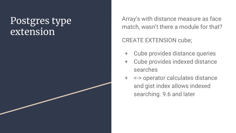### Postgres type extension

Array's with distance measure as face match, wasn't there a module for that?

### CREATE EXTENSION cube;

- + Cube provides distance queries
- + Cube provides indexed distance searches
- + <-> operator calculates distance and gist index allows indexed searching. 9.6 and later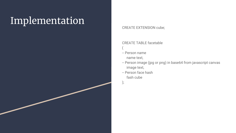## Implementation

### CREATE EXTENSION cube;

CREATE TABLE facetable

- (
- -- Person name

name text,

- -- Person image (jpg or png) in base64 from javascript canvas image text,
- -- Person face hash fash cube
- );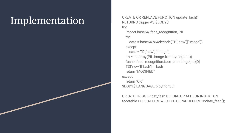Implementation CREATE OR REPLACE FUNCTION update\_fash() RETURNS trigger AS \$BODY\$ try: import base64, face\_recognition, PIL

### try:

 data = base64.b64decode(TD["new"]["image"]) except:

 data = TD["new"]["image"] Im = np.array(PIL.Image.frombytes(data)) fash = face\_recognition.face\_encodings(im)[0] TD["new"]["fash"] = fash return "MODIFIED" except: return "OK" \$BODY\$ LANGUAGE plpython3u;

CREATE TRIGGER get\_fash BEFORE UPDATE OR INSERT ON facetable FOR EACH ROW EXECUTE PROCEDURE update\_fash();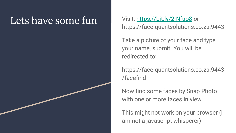### Lets have some fun Visit: <https://bit.ly/2INfao8>or

https://face.quantsolutions.co.za:9443

Take a picture of your face and type your name, submit. You will be redirected to:

https://face.quantsolutions.co.za:9443 /facefind

Now find some faces by Snap Photo with one or more faces in view.

This might not work on your browser (I am not a javascript whisperer)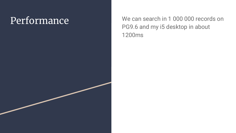Performance We can search in 1 000 000 records on PG9.6 and my i5 desktop in about 1200ms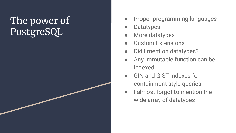## The power of PostgreSQL

- Proper programming languages
- **Datatypes**
- More datatypes
- **Custom Extensions**
- Did I mention datatypes?
- Any immutable function can be indexed
- GIN and GIST indexes for containment style queries
- I almost forgot to mention the wide array of datatypes